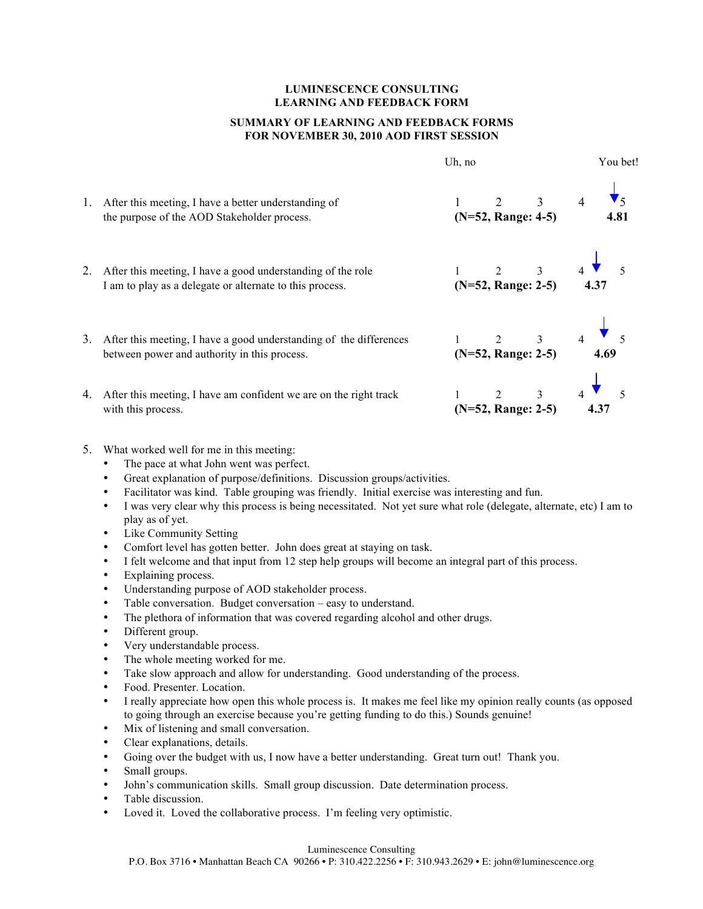## **LUMINESCENCE CONSULTING LEARNING AND FEEDBACK FORM**

## **SUMMARY OF LEARNING AND FEEDBACK FORMS FOR NOVEMBER 30, 2010 AOD FIRST SESSION**

|    |                                                                                                                         | Uh, no |                                               |  | You bet! |  |  |
|----|-------------------------------------------------------------------------------------------------------------------------|--------|-----------------------------------------------|--|----------|--|--|
| 1. | After this meeting, I have a better understanding of<br>the purpose of the AOD Stakeholder process.                     |        | 1 2 3 4 $\sqrt{5}$<br>(N=52, Range: 4-5) 4.81 |  |          |  |  |
|    | After this meeting, I have a good understanding of the role<br>I am to play as a delegate or alternate to this process. |        | 1 2 3 4 $\sqrt{5}$<br>(N=52, Range: 2-5) 4.37 |  |          |  |  |
| 3. | After this meeting, I have a good understanding of the differences<br>between power and authority in this process.      |        | 1 2 3 4 5<br>(N=52, Range: 2-5) 4.69          |  |          |  |  |
| 4. | After this meeting, I have am confident we are on the right track<br>with this process.                                 |        | 1 2 3 4 5<br>(N=52, Range: 2-5) 4.37          |  |          |  |  |

## 5. What worked well for me in this meeting:

- The pace at what John went was perfect.
- Great explanation of purpose/definitions. Discussion groups/activities.
- Facilitator was kind. Table grouping was friendly. Initial exercise was interesting and fun.
- I was very clear why this process is being necessitated. Not yet sure what role (delegate, alternate, etc) I am to play as of yet.
- Like Community Setting
- Comfort level has gotten better. John does great at staying on task.<br>• I felt welcome and that input from 12 stap help groups will become
- I felt welcome and that input from 12 step help groups will become an integral part of this process.
- Explaining process.
- Understanding purpose of AOD stakeholder process.
- Table conversation. Budget conversation easy to understand.
- The plethora of information that was covered regarding alcohol and other drugs.
- Different group.
- Very understandable process.
- The whole meeting worked for me.
- Take slow approach and allow for understanding. Good understanding of the process.
- Food. Presenter. Location.<br>• I really anneciate how one
- I really appreciate how open this whole process is. It makes me feel like my opinion really counts (as opposed to going through an exercise because you're getting funding to do this.) Sounds genuine!
- Mix of listening and small conversation.
- Clear explanations, details.
- Going over the budget with us, I now have a better understanding. Great turn out! Thank you.
- Small groups.
- John's communication skills. Small group discussion. Date determination process.
- Table discussion.
- Loved it. Loved the collaborative process. I'm feeling very optimistic.